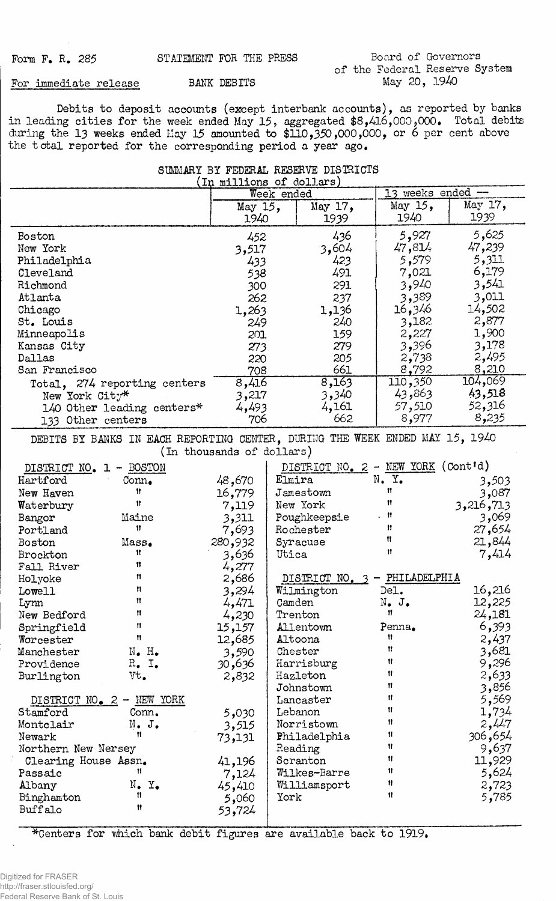**For immediate release BANK DEBITS**

**Debits to deposit accounts (except interbank accounts), as reported by banks in leading cities for the week ended May 15, aggregated \$8,416,000,000. Total debits during the 13 weeks ended Hay 15 amounted to \$110,350,000,000, or 6 per cent above the total reported for the corresponding period a year ago.**

|  | SUMMARY BY FEDERAL RESERVE DISTRICTS |  |  |
|--|--------------------------------------|--|--|
|  | (In millions of dollars)             |  |  |

|                         | いふんん                                                                         |                           | meternation of correction<br>Week ended |                             | 13 weeks ended - |  |
|-------------------------|------------------------------------------------------------------------------|---------------------------|-----------------------------------------|-----------------------------|------------------|--|
|                         |                                                                              |                           |                                         | May $15$ ,                  | May 17,          |  |
|                         |                                                                              | May 15,<br>1940           | May 17,                                 | 1940                        | 1939             |  |
|                         |                                                                              |                           | 1939                                    |                             |                  |  |
| Boston                  |                                                                              | 452                       | 436                                     | 5,927                       | 5,625            |  |
| New York                |                                                                              | 3,517                     | 3,604                                   | 47,814                      | 47,239           |  |
| Philadelphia            |                                                                              | 433                       | 423                                     | 5,579                       | 5,311            |  |
| Cleveland               |                                                                              | 538                       | 491                                     | 7,021                       | 6,179            |  |
| Richmond                |                                                                              | 300                       | 291                                     | 3,940                       | 3,541            |  |
| Atlanta                 |                                                                              | 262                       | 237                                     | 3,389                       | 3,011            |  |
| Chicago                 |                                                                              | 1,263                     | 1,136                                   | 16,346                      | 14,502           |  |
| St. Louis               |                                                                              | 249                       | 240                                     | 3,182                       | 2,877            |  |
| Minneapolis             |                                                                              | 201                       | 159                                     | 2,227                       | 1,900            |  |
|                         |                                                                              |                           |                                         | 3,396                       | 3,178            |  |
| Kansas City             |                                                                              | 273                       | 279                                     |                             | 2,495            |  |
| Dallas                  |                                                                              | 220                       | 205                                     | 2,738                       |                  |  |
| San Francisco           |                                                                              | 708                       | 661                                     | 8,792                       | 8,210            |  |
|                         | Total, 274 reporting centers                                                 | 8,416                     | 8,163                                   | 110,350                     | 104,069          |  |
| New York City*          |                                                                              | 3,217                     | 3,340                                   | 43,863                      | 43,518           |  |
|                         | 140 Other leading centers*                                                   | 4,493                     | 4,161                                   | 57,510                      | 52,316           |  |
| 133 Other centers       |                                                                              | 706                       | 662                                     | 8,977                       | 8,235            |  |
|                         | DEBITS BY BANKS IN EACH REPORTING CENTER, DURING THE WEEK ENDED MAY 15, 1940 |                           |                                         |                             |                  |  |
|                         |                                                                              | (In thousands of dollars) |                                         |                             |                  |  |
|                         |                                                                              |                           |                                         |                             |                  |  |
| DISTRICT NO. 1 - BOSTON |                                                                              |                           | DISTRICT NO. $2$ - NEW YORK (Cont'd)    |                             |                  |  |
| Hartford                | Conn.                                                                        | 48,670                    | Elmira                                  | N. Y.                       | 3,503            |  |
| New Haven               | Ħ                                                                            | 16,779                    | Jamestown                               | 11                          | 3,087            |  |
| Waterbury               | 11                                                                           | 7,119                     | New York                                | 11                          | 3,216,713        |  |
| Bangor                  | Maine                                                                        | 3,311                     | Poughkeepsie                            | 11                          | 3,069            |  |
| Portland                | Ħ                                                                            | 7,693                     | Rochester                               | 11                          | 27,654           |  |
| Boston                  | Mass.                                                                        | 280,932                   | Syracuse                                | Ħ                           | 21,844           |  |
| Brockton                | n                                                                            | 3,636                     | Utica                                   | Ħ                           | 7,414            |  |
| Fall River              | u                                                                            | 4,277                     |                                         |                             |                  |  |
| Holyoke                 | Ħ                                                                            | 2,686                     | DISTRICT NO.                            | PHILADELPHIA                |                  |  |
| Lowell                  | Ħ                                                                            | 3,294                     | Wilmington                              | Del.                        | 16,216           |  |
| Lynn                    | 11                                                                           | 4,471                     | Camden                                  | $N_{\bullet}$ $J_{\bullet}$ | 12,225           |  |
| New Bedford             | Ħ                                                                            | 4,230                     | Trenton                                 | Ħ                           | 24,181           |  |
| Springfield             | 11                                                                           | 15,157                    | <b>Allentown</b>                        | Penna.                      | 6,393            |  |
|                         | Ħ                                                                            | 12,685                    | Altoona                                 | Ħ                           | 2,437            |  |
| Worcester<br>Manchester | $N_{\bullet}$ H.                                                             |                           | Chester                                 | Ħ                           | 3,681            |  |
|                         | $R_{\bullet}$ I.                                                             | 3,590                     |                                         | Ħ                           | 9,296            |  |
| Providence              |                                                                              | 30,636                    | Harrisburg<br>Hazleton                  | Ħ                           | 2,633            |  |
| Burlington              | Vt.                                                                          | 2,832                     | Johnstown                               | 11.                         | 3,856            |  |
|                         |                                                                              |                           |                                         | 11                          | 5,569            |  |
| DISTRICT NO. 2 -        | NEW YORK                                                                     |                           | Lancaster                               | Ħ                           |                  |  |
| Stamford                | Conn.                                                                        | 5,030                     | Lebanon                                 | 11                          | 1,734            |  |
| Montclair               | $N_{\bullet}$ J.                                                             | 3,515                     | Norristown                              |                             | 2,447            |  |
| Ħ<br>Newark             |                                                                              | 73,131                    | Philadelphia                            | Ħ                           | 306,654          |  |
| Northern New Nersey     |                                                                              |                           | Reading                                 | Ħ                           | 9,637            |  |
| Clearing House Assn.    |                                                                              | 41,196                    | Scranton                                | Ħ                           | 11,929           |  |
| Passaic                 | 11                                                                           | 7,124                     | Wilkes-Barre                            | Ħ                           | 5,624            |  |
| Albany                  | $N_{\bullet}$ $Y_{\bullet}$                                                  | 45,410                    | Williamsport                            | Ħ                           | 2,723            |  |
| Binghamton              | 11                                                                           | 5,060                     | York                                    | Ħ                           | 5,785            |  |
| Buffalo                 | Ħ                                                                            | 53,724                    |                                         |                             |                  |  |

\*Centers for which bank debit figures are available back to 1919.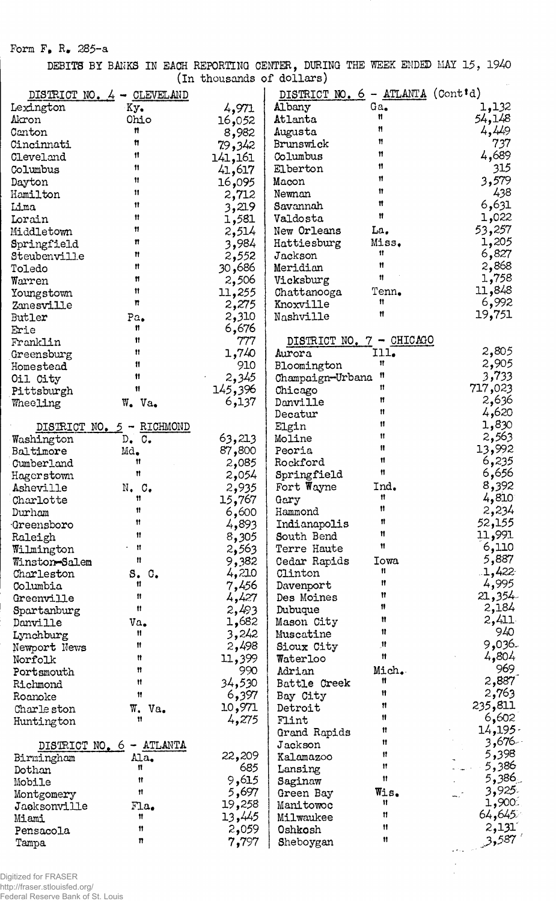Form  $F_{\bullet}$  R<sub>\*</sub> 285-a

DEBITS BY BANKS IN EACH REPORTING CENTER, DURING THE WEEK ENDED MAY 15, 1940 (In thousands of dollars)

|                            | DISTRICT NO. 4 - CLEVELAND       |         | DISTRICT NO. 6 - ATLANTA (Cont'd) |       |         |
|----------------------------|----------------------------------|---------|-----------------------------------|-------|---------|
| Lexington                  | Ky.                              | 4,971   | Albany                            | Ga.   | 1,132   |
| Akron                      | Ohio                             | 16,052  | Atlanta                           | Ħ     | 54,148  |
| Canton                     | n                                | 8,982   | Augusta                           | Ħ     | 4,49    |
| Cincinnati                 | Ħ                                | 79,342  | Brunswick                         | 11    | 737     |
| Cleveland                  | 11                               | 141,161 | Columbus                          | Ħ     | 4,689   |
| Columbus                   | Ħ                                |         | Elberton                          | Ħ     | 315     |
|                            | Ħ                                | 41,617  | Macon                             | Ħ     | 3,579   |
| Dayton                     | 11                               | 16,095  |                                   | Ħ     | 438     |
| Hamilton                   | 11                               | 2,712   | Newnan                            | Ħ     |         |
| Lima                       |                                  | 3,219   | Savannah                          | Ħ     | 6,631   |
| Lorain                     | Ħ                                | 1,581   | Valdosta                          |       | 1,022   |
| Middletown                 | Ħ                                | 2,514   | New Orleans                       | La,   | 53,257  |
| Springfield                | n                                | 3,984   | Hattiesburg                       | Miss. | 1,205   |
| Steubenville               | Ħ                                | 2,552   | Jackson                           | 11    | 6,827   |
| Toledo                     | n                                | 30,686  | Meridian                          | Ħ     | 2,868   |
| Warren                     | n                                | 2,506   | Vicksburg                         | Ħ     | 1,758   |
| Youngstown                 | Ħ                                | 11,255  | Chattanooga                       | Tenn. | 11,848  |
| Zanesville                 | n                                | 2,275   | Knoxville                         | 11    | 6,992   |
| Butler                     | Pa.                              | 2,310   | Nashville                         | Ħ     | 19,751  |
| Erie                       | 11                               | 6,676   |                                   |       |         |
| Franklin                   | 11                               | 777     | DISTRICT NO. 7 - CHICAGO          |       |         |
| Greensburg                 | Ħ                                | 1,740   | Aurora                            | Ill.  | 2,805   |
| Homestead                  | 11                               | 910     | Bloomington                       | Ħ     | 2,905   |
| Oil City                   | 11                               | 2,345   | Champaign-Urbana                  | Ħ     | 3,733   |
| Pittsburgh                 | 11                               | 145,396 | Chicago                           | Ħ     | 717,023 |
| Wheeling                   | W. Va.                           | 6,137   | Danville                          | Ħ     | 2,636   |
|                            |                                  |         | Decatur                           | Ħ     | 4,620   |
| DISTRICT NO.               | $5 - RICHMOND$                   |         | Elgin                             | 11    | 1,830   |
| Washington                 | $D_{\bullet}$ $C_{\bullet}$      | 63,213  | Moline                            | 11    | 2,563   |
| Baltimore                  | Md.                              | 87,800  | Peoria                            | Ħ     | 13,992  |
| Cumberland                 | 11                               | 2,085   | Rockford                          | 11    | 6,235   |
|                            | Ħ                                | 2,054   | Springfield                       | Ħ     | 6,656   |
| Hagerstown                 |                                  |         | Fort Wayne                        | Ind.  | 8,392   |
| Asheville                  | $N_{\bullet}$ $C_{\bullet}$<br>Ħ | 2,935   |                                   | Ħ     | 4,810   |
| Charlotte                  | 11                               | 15,767  | Gary                              | Ħ     | 2,234   |
| Durham                     | 11                               | 6,600   | Hammond                           | n     |         |
| Greensboro                 | Ħ                                | 4,893   | Indianapolis                      | 11    | 52,155  |
| Raleigh                    |                                  | 8,305   | South Bend                        | 11    | 11,991  |
| Wilmington                 | $\blacksquare$                   | 2,563   | Terre Haute                       |       | 6,110   |
| Winston <del>-</del> Salem | 11                               | 9,382   | Cedar Rapids                      | Iowa  | 5,887   |
| Charleston                 | S. C.                            | 4,210   | Clinton                           | 11    | 1,422   |
| Columbia                   | Ħ                                | 7,456   | Davenport                         | Ħ     | 4,995   |
| Greenville                 | Ħ                                | 4,427   | Des Moines                        | Ħ     | 21,354  |
| Spartanburg                | Ħ                                | 2,493   | Dubuque                           | 11    | 2,184   |
| Danville                   | Va.                              | 1,682   | Mason City                        | Ħ     | 2,411   |
| Lynchburg                  | Ħ                                | 3,242   | Muscatine                         | Ħ     | 940     |
| Newport News               | Ħ                                | 2,498   | Sioux City                        | Ħ     | 9,036.  |
| Norfolk                    | Ħ                                | 11,399  | Waterloo                          | 11    | 4,804   |
| Portsmouth                 | n                                | 990     | Adrian                            | Mich. | 969     |
| Richmond                   | Ħ                                | 34,530  | Battle Creek                      | 11    | 2,887   |
| Roanoke                    | Ħ                                | 6,397   | Bay City                          | Ħ     | 2,763   |
| Charle ston                | $W_{\bullet}$<br>Va.             | 10,971  | Detroit                           | 11    | 235,811 |
| Huntington                 | Ħ                                | 4,275   | Flint                             | Ħ     | 6,602   |
|                            |                                  |         | Grand Rapids                      | Ħ     | 14, 195 |
| DISTRICT NO. 6             | - ATLANTA                        |         | Jackson                           | Ħ     | 3,676-  |
| Birmingham                 | Ala.                             | 22,209  | Kalamazoo                         | Ħ     | 5,398   |
| Dothan                     | Ħ                                | 685     | Lansing                           | Ħ     | 5,386   |
| Mobile                     | Ħ                                | 9,615   | Saginaw                           | Ħ     | ِ386ءَ  |
| Montgomery                 | Ħ                                | 5,697   | Green Bay                         | Wis.  | 3,925.  |
| Jacksonville               | Flag <sub>•</sub>                | 19,258  | Manitowoc                         | 11    | 1,900   |
| Miami                      | 11                               | 13,445  | Milwaukee                         | n     | 64,645  |
| Pensacola                  | 11                               | 2,059   | Oshkosh                           | 11    | 2,131   |
|                            | n                                | 7,797   | Sheboygan                         | Ħ     | 3,587   |
| Tampa                      |                                  |         |                                   |       |         |

 $\hat{\boldsymbol{\gamma}}$ 

Digitized for FRASER http://fraser.stlouisfed.org/ Federal Reserve Bank of St. Louis